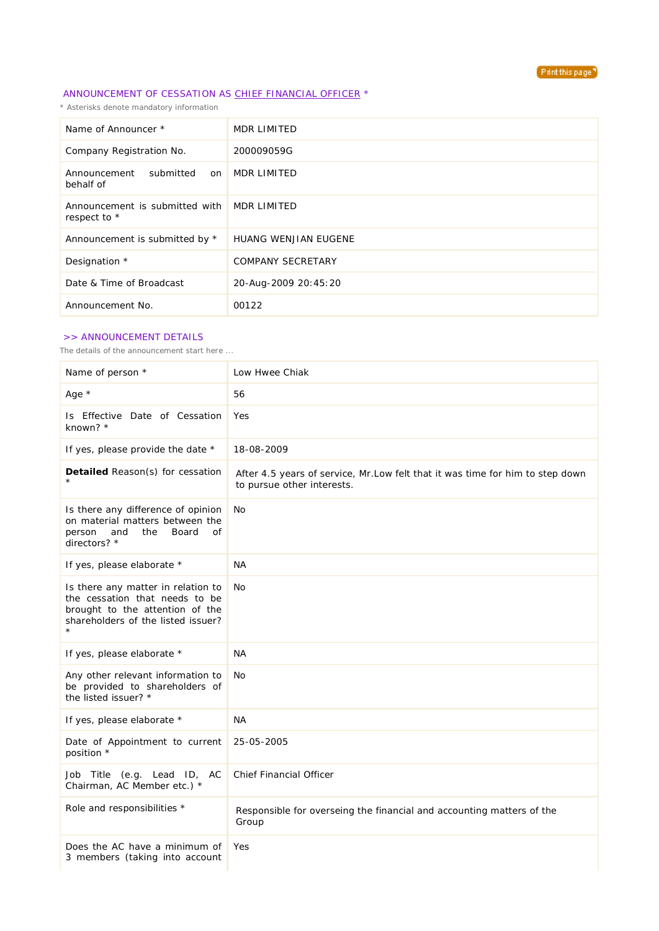

## ANNOUNCEMENT OF CESSATION AS CHIEF FINANCIAL OFFICER \*

*\* Asterisks denote mandatory information*

| Name of Announcer *                            | <b>MDR LIMITED</b>          |
|------------------------------------------------|-----------------------------|
| Company Registration No.                       | 200009059G                  |
| submitted<br>Announcement<br>on<br>behalf of   | MDR LIMITED                 |
| Announcement is submitted with<br>respect to * | MDR LIMITED                 |
| Announcement is submitted by *                 | <b>HUANG WENJIAN EUGENE</b> |
| Designation *                                  | <b>COMPANY SECRETARY</b>    |
| Date & Time of Broadcast                       | 20-Aug-2009 20:45:20        |
| Announcement No.                               | 00122                       |

## >> ANNOUNCEMENT DETAILS

*The details of the announcement start here ...*

| Name of person *                                                                                                                                         | Low Hwee Chiak                                                                                               |
|----------------------------------------------------------------------------------------------------------------------------------------------------------|--------------------------------------------------------------------------------------------------------------|
| Age $*$                                                                                                                                                  | 56                                                                                                           |
| Is Effective Date of Cessation<br>known? *                                                                                                               | Yes                                                                                                          |
| If yes, please provide the date *                                                                                                                        | 18-08-2009                                                                                                   |
| <b>Detailed Reason(s) for cessation</b>                                                                                                                  | After 4.5 years of service, Mr. Low felt that it was time for him to step down<br>to pursue other interests. |
| Is there any difference of opinion<br>on material matters between the<br>Board<br>person<br>and<br>the<br>of<br>directors? *                             | No                                                                                                           |
| If yes, please elaborate *                                                                                                                               | <b>NA</b>                                                                                                    |
| Is there any matter in relation to<br>the cessation that needs to be<br>brought to the attention of the<br>shareholders of the listed issuer?<br>$\star$ | No                                                                                                           |
| If yes, please elaborate *                                                                                                                               | <b>NA</b>                                                                                                    |
| Any other relevant information to<br>be provided to shareholders of<br>the listed issuer? *                                                              | No                                                                                                           |
| If yes, please elaborate *                                                                                                                               | NА                                                                                                           |
| Date of Appointment to current<br>position *                                                                                                             | 25-05-2005                                                                                                   |
| Job Title (e.g. Lead ID, AC<br>Chairman, AC Member etc.) *                                                                                               | <b>Chief Financial Officer</b>                                                                               |
| Role and responsibilities *                                                                                                                              | Responsible for overseing the financial and accounting matters of the<br>Group                               |
| Does the AC have a minimum of<br>3 members (taking into account                                                                                          | Yes                                                                                                          |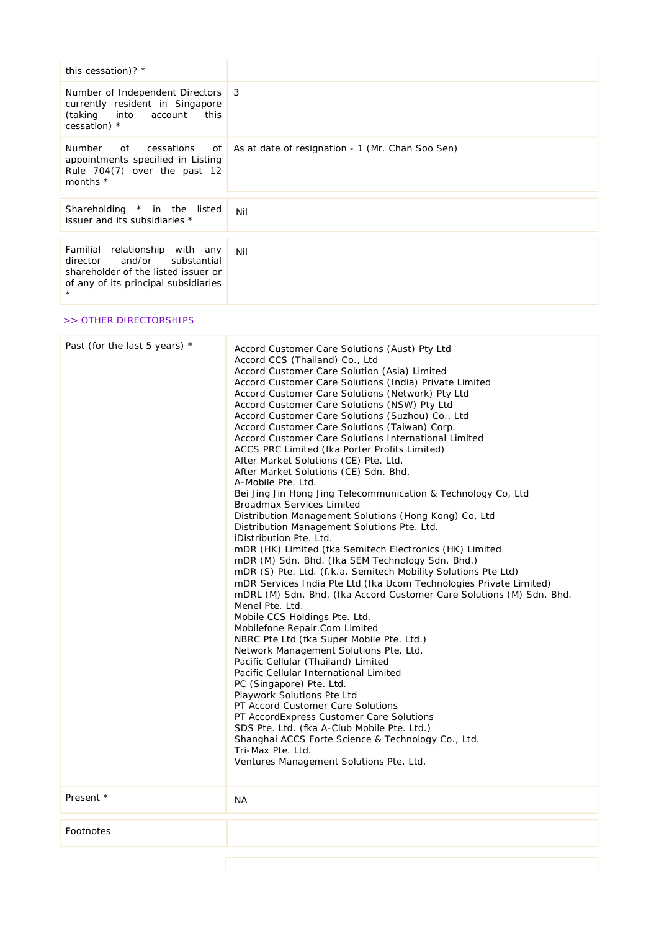| this cessation)? *                                                                                                                                      |                                                  |
|---------------------------------------------------------------------------------------------------------------------------------------------------------|--------------------------------------------------|
| Number of Independent Directors   3<br>currently resident in Singapore<br>(taking<br>into<br>account this<br>cessation) $*$                             |                                                  |
| Number<br>of<br>cessations<br>of<br>appointments specified in Listing<br>Rule $704(7)$ over the past 12<br>months $*$                                   | As at date of resignation - 1 (Mr. Chan Soo Sen) |
| Shareholding * in the listed<br>issuer and its subsidiaries *                                                                                           | Nil                                              |
| Familial relationship with any<br>director and/or substantial<br>shareholder of the listed issuer or<br>of any of its principal subsidiaries<br>$\star$ | Nil                                              |

## >> OTHER DIRECTORSHIPS

| Past (for the last 5 years) * | Accord Customer Care Solutions (Aust) Pty Ltd<br>Accord CCS (Thailand) Co., Ltd<br>Accord Customer Care Solution (Asia) Limited<br>Accord Customer Care Solutions (India) Private Limited<br>Accord Customer Care Solutions (Network) Pty Ltd<br>Accord Customer Care Solutions (NSW) Pty Ltd<br>Accord Customer Care Solutions (Suzhou) Co., Ltd<br>Accord Customer Care Solutions (Taiwan) Corp.<br>Accord Customer Care Solutions International Limited<br>ACCS PRC Limited (fka Porter Profits Limited)<br>After Market Solutions (CE) Pte. Ltd.<br>After Market Solutions (CE) Sdn. Bhd.<br>A-Mobile Pte. Ltd.<br>Bei Jing Jin Hong Jing Telecommunication & Technology Co, Ltd<br><b>Broadmax Services Limited</b><br>Distribution Management Solutions (Hong Kong) Co, Ltd<br>Distribution Management Solutions Pte. Ltd.<br>iDistribution Pte. Ltd.<br>mDR (HK) Limited (fka Semitech Electronics (HK) Limited<br>mDR (M) Sdn. Bhd. (fka SEM Technology Sdn. Bhd.)<br>mDR (S) Pte. Ltd. (f.k.a. Semitech Mobility Solutions Pte Ltd)<br>mDR Services India Pte Ltd (fka Ucom Technologies Private Limited)<br>mDRL (M) Sdn. Bhd. (fka Accord Customer Care Solutions (M) Sdn. Bhd.<br>Menel Pte. Ltd.<br>Mobile CCS Holdings Pte. Ltd.<br>Mobilefone Repair.Com Limited<br>NBRC Pte Ltd (fka Super Mobile Pte. Ltd.)<br>Network Management Solutions Pte. Ltd.<br>Pacific Cellular (Thailand) Limited<br>Pacific Cellular International Limited<br>PC (Singapore) Pte. Ltd.<br>Playwork Solutions Pte Ltd<br><b>PT Accord Customer Care Solutions</b><br>PT AccordExpress Customer Care Solutions<br>SDS Pte. Ltd. (fka A-Club Mobile Pte. Ltd.)<br>Shanghai ACCS Forte Science & Technology Co., Ltd.<br>Tri-Max Pte. Ltd.<br>Ventures Management Solutions Pte. Ltd. |
|-------------------------------|--------------------------------------------------------------------------------------------------------------------------------------------------------------------------------------------------------------------------------------------------------------------------------------------------------------------------------------------------------------------------------------------------------------------------------------------------------------------------------------------------------------------------------------------------------------------------------------------------------------------------------------------------------------------------------------------------------------------------------------------------------------------------------------------------------------------------------------------------------------------------------------------------------------------------------------------------------------------------------------------------------------------------------------------------------------------------------------------------------------------------------------------------------------------------------------------------------------------------------------------------------------------------------------------------------------------------------------------------------------------------------------------------------------------------------------------------------------------------------------------------------------------------------------------------------------------------------------------------------------------------------------------------------------------------------------------------------------------------------------------------------------------------------|
| Present *                     | <b>NA</b>                                                                                                                                                                                                                                                                                                                                                                                                                                                                                                                                                                                                                                                                                                                                                                                                                                                                                                                                                                                                                                                                                                                                                                                                                                                                                                                                                                                                                                                                                                                                                                                                                                                                                                                                                                      |
| Footnotes                     |                                                                                                                                                                                                                                                                                                                                                                                                                                                                                                                                                                                                                                                                                                                                                                                                                                                                                                                                                                                                                                                                                                                                                                                                                                                                                                                                                                                                                                                                                                                                                                                                                                                                                                                                                                                |